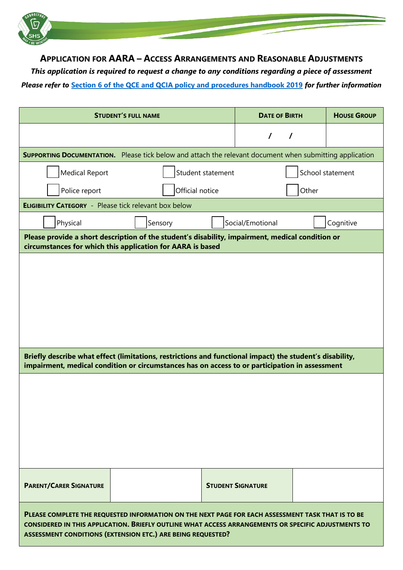

**APPLICATION FOR AARA – ACCESS ARRANGEMENTS AND REASONABLE ADJUSTMENTS**

*This application is required to request a change to any conditions regarding a piece of assessment Please refer to* **[Section 6 of the QCE and QCIA policy and procedures handbook 2019](https://www.qcaa.qld.edu.au/senior/certificates-and-qualifications/qce-qcia-handbook/6-aara)** *for further information*

| <b>STUDENT'S FULL NAME</b>                                                                                                                                                                                                                                              |                 |                   | <b>DATE OF BIRTH</b>     |  | <b>HOUSE GROUP</b> |  |  |  |  |
|-------------------------------------------------------------------------------------------------------------------------------------------------------------------------------------------------------------------------------------------------------------------------|-----------------|-------------------|--------------------------|--|--------------------|--|--|--|--|
|                                                                                                                                                                                                                                                                         |                 |                   | $\prime$<br>$\prime$     |  |                    |  |  |  |  |
| <b>SUPPORTING DOCUMENTATION.</b> Please tick below and attach the relevant document when submitting application                                                                                                                                                         |                 |                   |                          |  |                    |  |  |  |  |
| <b>Medical Report</b>                                                                                                                                                                                                                                                   |                 | Student statement |                          |  | School statement   |  |  |  |  |
| Police report                                                                                                                                                                                                                                                           | Official notice |                   | Other                    |  |                    |  |  |  |  |
| <b>ELIGIBILITY CATEGORY</b> - Please tick relevant box below                                                                                                                                                                                                            |                 |                   |                          |  |                    |  |  |  |  |
| Physical                                                                                                                                                                                                                                                                | Sensory         |                   | Social/Emotional         |  | Cognitive          |  |  |  |  |
| Please provide a short description of the student's disability, impairment, medical condition or<br>circumstances for which this application for AARA is based                                                                                                          |                 |                   |                          |  |                    |  |  |  |  |
|                                                                                                                                                                                                                                                                         |                 |                   |                          |  |                    |  |  |  |  |
| Briefly describe what effect (limitations, restrictions and functional impact) the student's disability,<br>impairment, medical condition or circumstances has on access to or participation in assessment                                                              |                 |                   |                          |  |                    |  |  |  |  |
|                                                                                                                                                                                                                                                                         |                 |                   |                          |  |                    |  |  |  |  |
| <b>PARENT/CARER SIGNATURE</b>                                                                                                                                                                                                                                           |                 |                   | <b>STUDENT SIGNATURE</b> |  |                    |  |  |  |  |
| PLEASE COMPLETE THE REQUESTED INFORMATION ON THE NEXT PAGE FOR EACH ASSESSMENT TASK THAT IS TO BE<br>CONSIDERED IN THIS APPLICATION. BRIEFLY OUTLINE WHAT ACCESS ARRANGEMENTS OR SPECIFIC ADJUSTMENTS TO<br>ASSESSMENT CONDITIONS (EXTENSION ETC.) ARE BEING REQUESTED? |                 |                   |                          |  |                    |  |  |  |  |